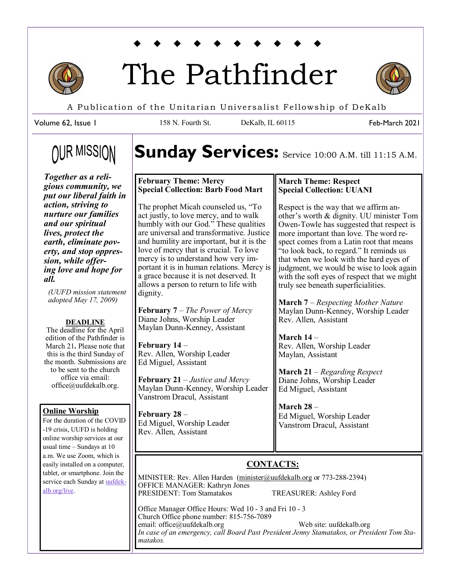

# The Pathfinder



Feb-March 2021

A Publication of the Unitarian Universalist Fellowship of DeKalb

158 N. Fourth St. DeKalb, IL 60115

Volume 62, Issue 1

# **OUR MISSION**

*Together as a religious community, we put our liberal faith in action, striving to nurture our families and our spiritual lives, protect the earth, eliminate poverty, and stop oppression, while offering love and hope for all.* 

*(UUFD mission statement adopted May 17, 2009)*

#### **DEADLINE**

The deadline for the April edition of the Pathfinder is March 21**.** Please note that this is the third Sunday of the month. Submissions are to be sent to the church office via email: office@uufdekalb.org.

#### **Online Worship**

For the duration of the COVID -19 crisis, UUFD is holding online worship services at our usual time – Sundays at 10 a.m. We use Zoom, which is easily installed on a computer, tablet, or smartphone. Join the service each Sunday at **uufdek**[alb.org/live.](https://uufdekalb.org/live)

Sunday Services: Service 10:00 A.M. till 11:15 A.M.

#### **February Theme: Mercy Special Collection: Barb Food Mart**

The prophet Micah counseled us, "To act justly, to love mercy, and to walk humbly with our God." These qualities are universal and transformative. Justice and humility are important, but it is the love of mercy that is crucial. To love mercy is to understand how very important it is in human relations. Mercy is a grace because it is not deserved. It allows a person to return to life with dignity.

**February 7** – *The Power of Mercy* Diane Johns, Worship Leader Maylan Dunn-Kenney, Assistant

**February 14** – Rev. Allen, Worship Leader Ed Miguel, Assistant

**February 21** – *Justice and Mercy* Maylan Dunn-Kenney, Worship Leader Vanstrom Dracul, Assistant

**February 28** – Ed Miguel, Worship Leader Rev. Allen, Assistant

#### **March Theme: Respect Special Collection: UUANI**

Respect is the way that we affirm another's worth & dignity. UU minister Tom Owen-Towle has suggested that respect is more important than love. The word respect comes from a Latin root that means "to look back, to regard." It reminds us that when we look with the hard eyes of judgment, we would be wise to look again with the soft eyes of respect that we might truly see beneath superficialities.

**March 7** – *Respecting Mother Nature* Maylan Dunn-Kenney, Worship Leader Rev. Allen, Assistant

**March 14** – Rev. Allen, Worship Leader Maylan, Assistant

**March 21** – *Regarding Respect* Diane Johns, Worship Leader Ed Miguel, Assistant

**March 28** – Ed Miguel, Worship Leader Vanstrom Dracul, Assistant

### **CONTACTS:**

MINISTER: Rev. Allen Harden [\(minister@uufdekalb.org](mailto:awhinchicago@gmail.com) or 773-288-2394) OFFICE MANAGER: Kathryn Jones PRESIDENT: Tom Stamatakos TREASURER: Ashley Ford

Office Manager Office Hours: Wed 10 - 3 and Fri 10 - 3 Church Office phone number: 815-756-7089 email: office@uufdekalb.org Web site: uufdekalb.org *In case of an emergency, call Board Past President Jenny Stamatakos, or President Tom Stamatakos.*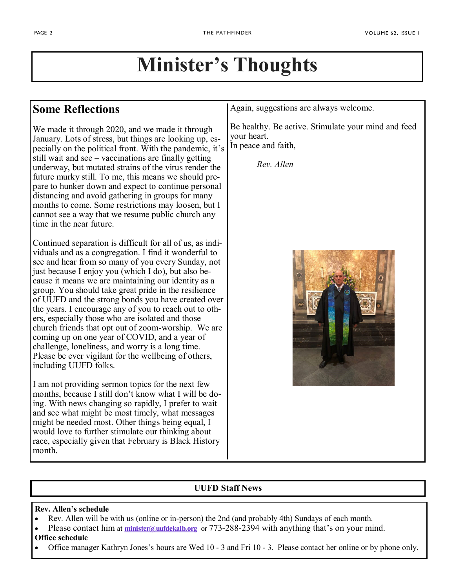# **Minister's Thoughts**

# **Some Reflections**

We made it through 2020, and we made it through January. Lots of stress, but things are looking up, especially on the political front. With the pandemic, it's still wait and see – vaccinations are finally getting underway, but mutated strains of the virus render the future murky still. To me, this means we should prepare to hunker down and expect to continue personal distancing and avoid gathering in groups for many months to come. Some restrictions may loosen, but I cannot see a way that we resume public church any time in the near future.

Continued separation is difficult for all of us, as individuals and as a congregation. I find it wonderful to see and hear from so many of you every Sunday, not just because I enjoy you (which I do), but also because it means we are maintaining our identity as a group. You should take great pride in the resilience of UUFD and the strong bonds you have created over the years. I encourage any of you to reach out to others, especially those who are isolated and those church friends that opt out of zoom-worship. We are coming up on one year of COVID, and a year of challenge, loneliness, and worry is a long time. Please be ever vigilant for the wellbeing of others, including UUFD folks.

I am not providing sermon topics for the next few months, because I still don't know what I will be doing. With news changing so rapidly, I prefer to wait and see what might be most timely, what messages might be needed most. Other things being equal, I would love to further stimulate our thinking about race, especially given that February is Black History month.

Again, suggestions are always welcome.

Be healthy. Be active. Stimulate your mind and feed your heart. In peace and faith,

*Rev. Allen*



### **UUFD Staff News**

#### **Rev. Allen's schedule**

- Rev. Allen will be with us (online or in-person) the 2nd (and probably 4th) Sundays of each month.
- Please contact him at *[minister@uufdekalb.org](mailto:minister@uufdekalb.org)* or 773-288-2394 with anything that's on your mind.

### **Office schedule**

Office manager Kathryn Jones's hours are Wed 10 - 3 and Fri 10 - 3. Please contact her online or by phone only.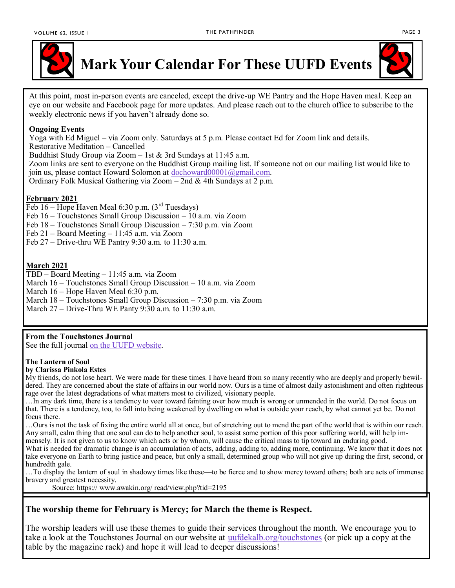

**Mark Your Calendar For These UUFD Events**



At this point, most in-person events are canceled, except the drive-up WE Pantry and the Hope Haven meal. Keep an eye on our website and Facebook page for more updates. And please reach out to the church office to subscribe to the weekly electronic news if you haven't already done so.

#### **Ongoing Events**

Yoga with Ed Miguel – via Zoom only. Saturdays at 5 p.m. Please contact Ed for Zoom link and details.

Restorative Meditation – Cancelled

Buddhist Study Group via Zoom – 1st & 3rd Sundays at 11:45 a.m.

Zoom links are sent to everyone on the Buddhist Group mailing list. If someone not on our mailing list would like to join us, please contact Howard Solomon at [dochoward00001@gmail.com.](mailto:dochoward00001@gmail.com)

Ordinary Folk Musical Gathering via Zoom – 2nd & 4th Sundays at 2 p.m.

#### **February 2021**

Feb  $16$  – Hope Haven Meal 6:30 p.m.  $(3<sup>rd</sup> Tuesdays)$ 

Feb 16 – Touchstones Small Group Discussion – 10 a.m. via Zoom

Feb 18 – Touchstones Small Group Discussion – 7:30 p.m. via Zoom

Feb 21 – Board Meeting – 11:45 a.m. via Zoom

Feb 27 – Drive-thru WE Pantry 9:30 a.m. to 11:30 a.m.

#### **March 2021**

TBD – Board Meeting – 11:45 a.m. via Zoom

March 16 – Touchstones Small Group Discussion – 10 a.m. via Zoom

March 16 – Hope Haven Meal 6:30 p.m.

March 18 – Touchstones Small Group Discussion – 7:30 p.m. via Zoom

March 27 – Drive-Thru WE Panty 9:30 a.m. to 11:30 a.m.

#### **From the Touchstones Journal**

See the full journal <u>on the UUFD website</u>.

#### **The Lantern of Soul**

#### **by Clarissa Pinkola Estes**

My friends, do not lose heart. We were made for these times. I have heard from so many recently who are deeply and properly bewildered. They are concerned about the state of affairs in our world now. Ours is a time of almost daily astonishment and often righteous rage over the latest degradations of what matters most to civilized, visionary people.

…In any dark time, there is a tendency to veer toward fainting over how much is wrong or unmended in the world. Do not focus on that. There is a tendency, too, to fall into being weakened by dwelling on what is outside your reach, by what cannot yet be. Do not focus there.

…Ours is not the task of fixing the entire world all at once, but of stretching out to mend the part of the world that is within our reach. Any small, calm thing that one soul can do to help another soul, to assist some portion of this poor suffering world, will help immensely. It is not given to us to know which acts or by whom, will cause the critical mass to tip toward an enduring good.

What is needed for dramatic change is an accumulation of acts, adding, adding to, adding more, continuing. We know that it does not take everyone on Earth to bring justice and peace, but only a small, determined group who will not give up during the first, second, or hundredth gale.

…To display the lantern of soul in shadowy times like these—to be fierce and to show mercy toward others; both are acts of immense bravery and greatest necessity.

Source: https:// www.awakin.org/ read/view.php?tid=2195

#### **The worship theme for February is Mercy; for March the theme is Respect.**

The worship leaders will use these themes to guide their services throughout the month. We encourage you to take a look at the Touchstones Journal on our website at **uufdekalb**.org/touchstones (or pick up a copy at the table by the magazine rack) and hope it will lead to deeper discussions!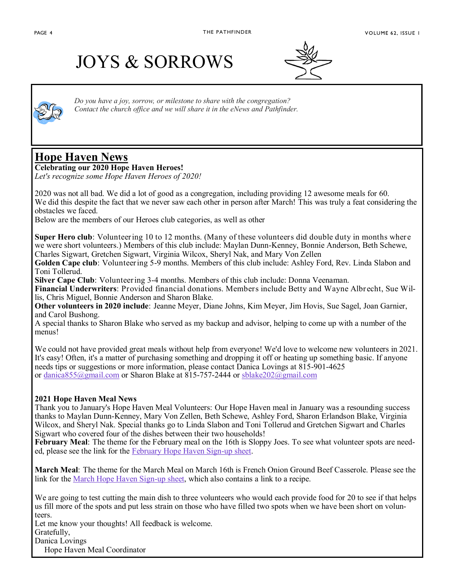# JOYS & SORROWS





*Do you have a joy, sorrow, or milestone to share with the congregation? Contact the church office and we will share it in the eNews and Pathfinder.*

## **Hope Haven News**

**Celebrating our 2020 Hope Haven Heroes!**

*Let's recognize some Hope Haven Heroes of 2020!*

2020 was not all bad. We did a lot of good as a congregation, including providing 12 awesome meals for 60. We did this despite the fact that we never saw each other in person after March! This was truly a feat considering the obstacles we faced.

Below are the members of our Heroes club categories, as well as other

**Super Hero club**: Volunteering 10 to 12 months. (Many of these volunteers did double duty in months where we were short volunteers.) Members of this club include: Maylan Dunn-Kenney, Bonnie Anderson, Beth Schewe, Charles Sigwart, Gretchen Sigwart, Virginia Wilcox, Sheryl Nak, and Mary Von Zellen

**Golden Cape club**: Volunteering 5-9 months. Members of this club include: Ashley Ford, Rev. Linda Slabon and Toni Tollerud.

**Silver Cape Club**: Volunteering 3-4 months. Members of this club include: Donna Veenaman.

**Financial Underwriters**: Provided financial donations. Members include Betty and Wayne Albrecht, Sue Willis, Chris Miguel, Bonnie Anderson and Sharon Blake.

**Other volunteers in 2020 include**: Jeanne Meyer, Diane Johns, Kim Meyer, Jim Hovis, Sue Sagel, Joan Garnier, and Carol Bushong.

A special thanks to Sharon Blake who served as my backup and advisor, helping to come up with a number of the menus!

We could not have provided great meals without help from everyone! We'd love to welcome new volunteers in 2021. It's easy! Often, it's a matter of purchasing something and dropping it off or heating up something basic. If anyone needs tips or suggestions or more information, please contact Danica Lovings at 815-901-4625 or [danica855@gmail.com](mailto:danica855@gmail.com) or Sharon Blake at 815-757-2444 or [sblake202@gmail.com](mailto:sblake202@gmail.com)

#### **2021 Hope Haven Meal News**

Thank you to January's Hope Haven Meal Volunteers: Our Hope Haven meal in January was a resounding success thanks to Maylan Dunn-Kenney, Mary Von Zellen, Beth Schewe, Ashley Ford, Sharon Erlandson Blake, Virginia Wilcox, and Sheryl Nak. Special thanks go to Linda Slabon and Toni Tollerud and Gretchen Sigwart and Charles Sigwart who covered four of the dishes between their two households!

**February Meal**: The theme for the February meal on the 16th is Sloppy Joes. To see what volunteer spots are needed, please see the link for the [February Hope Haven Sign](https://docs.google.com/document/d/1102acQMsM9NODczHcUZ28aFNNUyxBKHbzKBF4_FTVdo/edit?usp=sharing)-up sheet.

**March Meal**: The theme for the March Meal on March 16th is French Onion Ground Beef Casserole. Please see the link for the [March Hope Haven Sign](https://docs.google.com/document/d/1X6twxAW7F8ZQzOIk-dQOof8WdfgQIs8ngSwyXASNu84/edit?usp=sharing)-up sheet, which also contains a link to a recipe.

We are going to test cutting the main dish to three volunteers who would each provide food for 20 to see if that helps us fill more of the spots and put less strain on those who have filled two spots when we have been short on volunteers.

Let me know your thoughts! All feedback is welcome.

Gratefully,

Danica Lovings

Hope Haven Meal Coordinator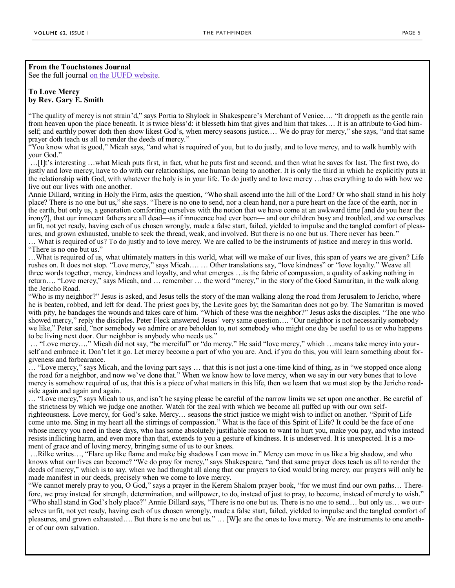**From the Touchstones Journal** See the full journal [on the UUFD website.](https://uufdekalb.org/lifelong-learning/adults/touchstone%20journal)

#### **To Love Mercy by Rev. Gary E. Smith**

"The quality of mercy is not strain'd," says Portia to Shylock in Shakespeare's Merchant of Venice…. "It droppeth as the gentle rain from heaven upon the place beneath. It is twice bless'd: it blesseth him that gives and him that takes.… It is an attribute to God himself; and earthly power doth then show likest God's, when mercy seasons justice.… We do pray for mercy," she says, "and that same prayer doth teach us all to render the deeds of mercy."

"You know what is good," Micah says, "and what is required of you, but to do justly, and to love mercy, and to walk humbly with your God."

…[I]t's interesting …what Micah puts first, in fact, what he puts first and second, and then what he saves for last. The first two, do justly and love mercy, have to do with our relationships, one human being to another. It is only the third in which he explicitly puts in the relationship with God, with whatever the holy is in your life. To do justly and to love mercy …has everything to do with how we live out our lives with one another.

Annie Dillard, writing in Holy the Firm, asks the question, "Who shall ascend into the hill of the Lord? Or who shall stand in his holy place? There is no one but us," she says. "There is no one to send, nor a clean hand, nor a pure heart on the face of the earth, nor in the earth, but only us, a generation comforting ourselves with the notion that we have come at an awkward time [and do you hear the irony?], that our innocent fathers are all dead—as if innocence had ever been— and our children busy and troubled, and we ourselves unfit, not yet ready, having each of us chosen wrongly, made a false start, failed, yielded to impulse and the tangled comfort of pleasures, and grown exhausted, unable to seek the thread, weak, and involved. But there is no one but us. There never has been."

… What is required of us? To do justly and to love mercy. We are called to be the instruments of justice and mercy in this world. "There is no one but us."

…What is required of us, what ultimately matters in this world, what will we make of our lives, this span of years we are given? Life rushes on. It does not stop. "Love mercy," says Micah…. … Other translations say, "love kindness" or "love loyalty." Weave all three words together, mercy, kindness and loyalty, and what emerges …is the fabric of compassion, a quality of asking nothing in return…. "Love mercy," says Micah, and … remember … the word "mercy," in the story of the Good Samaritan, in the walk along the Jericho Road.

"Who is my neighbor?" Jesus is asked, and Jesus tells the story of the man walking along the road from Jerusalem to Jericho, where he is beaten, robbed, and left for dead. The priest goes by, the Levite goes by; the Samaritan does not go by. The Samaritan is moved with pity, he bandages the wounds and takes care of him. "Which of these was the neighbor?" Jesus asks the disciples. "The one who showed mercy," reply the disciples. Peter Fleck answered Jesus' very same question…. "Our neighbor is not necessarily somebody we like," Peter said, "nor somebody we admire or are beholden to, not somebody who might one day be useful to us or who happens to be living next door. Our neighbor is anybody who needs us."

… "Love mercy…." Micah did not say, "be merciful" or "do mercy." He said "love mercy," which …means take mercy into yourself and embrace it. Don't let it go. Let mercy become a part of who you are. And, if you do this, you will learn something about forgiveness and forbearance.

… "Love mercy," says Micah, and the loving part says … that this is not just a one-time kind of thing, as in "we stopped once along the road for a neighbor, and now we've done that." When we know how to love mercy, when we say in our very bones that to love mercy is somehow required of us, that this is a piece of what matters in this life, then we learn that we must stop by the Jericho roadside again and again and again.

… "Love mercy," says Micah to us, and isn't he saying please be careful of the narrow limits we set upon one another. Be careful of the strictness by which we judge one another. Watch for the zeal with which we become all puffed up with our own selfrighteousness. Love mercy, for God's sake. Mercy… seasons the strict justice we might wish to inflict on another. "Spirit of Life come unto me. Sing in my heart all the stirrings of compassion." What is the face of this Spirit of Life? It could be the face of one whose mercy you need in these days, who has some absolutely justifiable reason to want to hurt you, make you pay, and who instead resists inflicting harm, and even more than that, extends to you a gesture of kindness. It is undeserved. It is unexpected. It is a moment of grace and of loving mercy, bringing some of us to our knees.

…Rilke writes…, "Flare up like flame and make big shadows I can move in." Mercy can move in us like a big shadow, and who knows what our lives can become? "We do pray for mercy," says Shakespeare, "and that same prayer does teach us all to render the deeds of mercy," which is to say, when we had thought all along that our prayers to God would bring mercy, our prayers will only be made manifest in our deeds, precisely when we come to love mercy.

"We cannot merely pray to you, O God," says a prayer in the Kerem Shalom prayer book, "for we must find our own paths… Therefore, we pray instead for strength, determination, and willpower, to do, instead of just to pray, to become, instead of merely to wish." "Who shall stand in God's holy place?" Annie Dillard says, "There is no one but us. There is no one to send… but only us… we ourselves unfit, not yet ready, having each of us chosen wrongly, made a false start, failed, yielded to impulse and the tangled comfort of pleasures, and grown exhausted…. But there is no one but us." … [W]e are the ones to love mercy. We are instruments to one another of our own salvation.